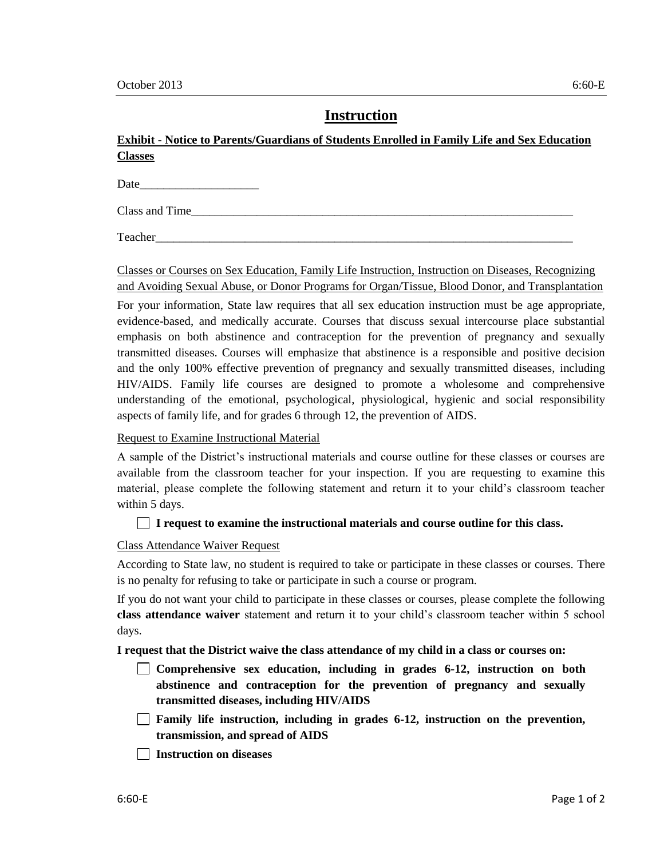# **Instruction**

## **Exhibit - Notice to Parents/Guardians of Students Enrolled in Family Life and Sex Education Classes**

Date

Class and Time

Teacher\_\_\_\_\_\_\_\_\_\_\_\_\_\_\_\_\_\_\_\_\_\_\_\_\_\_\_\_\_\_\_\_\_\_\_\_\_\_\_\_\_\_\_\_\_\_\_\_\_\_\_\_\_\_\_\_\_\_\_\_\_\_\_\_\_\_\_\_\_\_

Classes or Courses on Sex Education, Family Life Instruction, Instruction on Diseases, Recognizing and Avoiding Sexual Abuse, or Donor Programs for Organ/Tissue, Blood Donor, and Transplantation

For your information, State law requires that all sex education instruction must be age appropriate, evidence-based, and medically accurate. Courses that discuss sexual intercourse place substantial emphasis on both abstinence and contraception for the prevention of pregnancy and sexually transmitted diseases. Courses will emphasize that abstinence is a responsible and positive decision and the only 100% effective prevention of pregnancy and sexually transmitted diseases, including HIV/AIDS. Family life courses are designed to promote a wholesome and comprehensive understanding of the emotional, psychological, physiological, hygienic and social responsibility aspects of family life, and for grades 6 through 12, the prevention of AIDS.

### Request to Examine Instructional Material

A sample of the District's instructional materials and course outline for these classes or courses are available from the classroom teacher for your inspection. If you are requesting to examine this material, please complete the following statement and return it to your child's classroom teacher within 5 days.

### **I request to examine the instructional materials and course outline for this class.**

### Class Attendance Waiver Request

According to State law, no student is required to take or participate in these classes or courses. There is no penalty for refusing to take or participate in such a course or program.

If you do not want your child to participate in these classes or courses, please complete the following **class attendance waiver** statement and return it to your child's classroom teacher within 5 school days.

**I request that the District waive the class attendance of my child in a class or courses on:**

- **Comprehensive sex education, including in grades 6-12, instruction on both abstinence and contraception for the prevention of pregnancy and sexually transmitted diseases, including HIV/AIDS**
- **Family life instruction, including in grades 6-12, instruction on the prevention, transmission, and spread of AIDS**
- **Instruction on diseases**